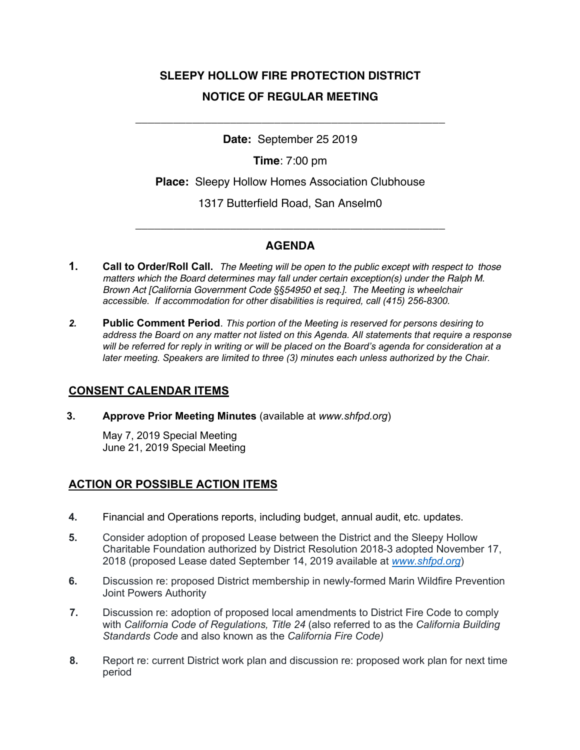# **SLEEPY HOLLOW FIRE PROTECTION DISTRICT NOTICE OF REGULAR MEETING**

**Date:** September 25 2019

\_\_\_\_\_\_\_\_\_\_\_\_\_\_\_\_\_\_\_\_\_\_\_\_\_\_\_\_\_\_\_\_\_\_\_\_\_\_\_\_\_\_\_\_\_\_\_\_\_

**Time**: 7:00 pm

**Place:** Sleepy Hollow Homes Association Clubhouse

1317 Butterfield Road, San Anselm0

# **AGENDA**

\_\_\_\_\_\_\_\_\_\_\_\_\_\_\_\_\_\_\_\_\_\_\_\_\_\_\_\_\_\_\_\_\_\_\_\_\_\_\_\_\_\_\_\_\_\_\_\_\_

- **1. Call to Order/Roll Call.** *The Meeting will be open to the public except with respect to those matters which the Board determines may fall under certain exception(s) under the Ralph M. Brown Act [California Government Code §§54950 et seq.]. The Meeting is wheelchair accessible. If accommodation for other disabilities is required, call (415) 256-8300.*
- *2.* **Public Comment Period**. *This portion of the Meeting is reserved for persons desiring to address the Board on any matter not listed on this Agenda. All statements that require a response will be referred for reply in writing or will be placed on the Board's agenda for consideration at a later meeting. Speakers are limited to three (3) minutes each unless authorized by the Chair.*

### **CONSENT CALENDAR ITEMS**

**3. Approve Prior Meeting Minutes** (available at *www.shfpd.org*)

May 7, 2019 Special Meeting June 21, 2019 Special Meeting

# **ACTION OR POSSIBLE ACTION ITEMS**

- **4.** Financial and Operations reports, including budget, annual audit, etc. updates.
- **5.** Consider adoption of proposed Lease between the District and the Sleepy Hollow Charitable Foundation authorized by District Resolution 2018-3 adopted November 17, 2018 (proposed Lease dated September 14, 2019 available at *www.shfpd.org*)
- **6.** Discussion re: proposed District membership in newly-formed Marin Wildfire Prevention Joint Powers Authority
- **7.** Discussion re: adoption of proposed local amendments to District Fire Code to comply with *California Code of Regulations, Title 24* (also referred to as the *California Building Standards Code* and also known as the *California Fire Code)*
- **8.** Report re: current District work plan and discussion re: proposed work plan for next time period